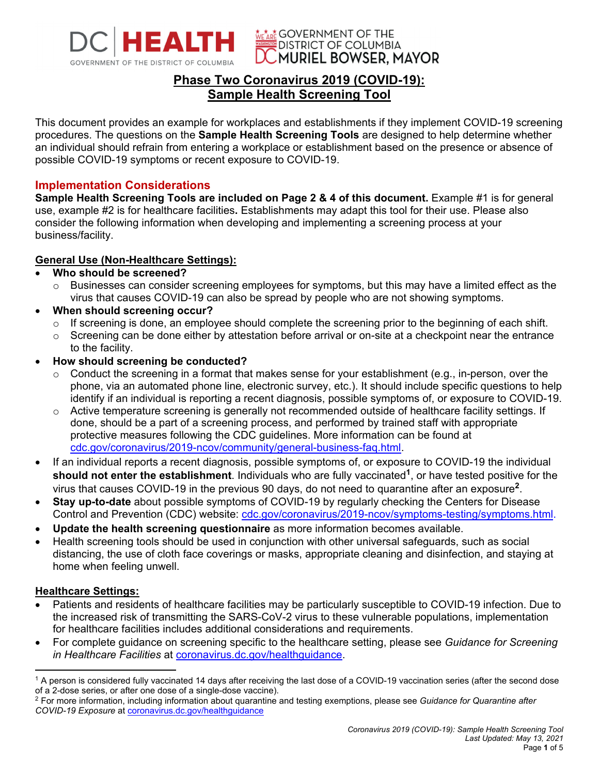

**WE ARE GOVERNMENT OF THE DISTRICT OF COLUMBIA MURIEL BOWSER, MAYOR** 

# **Phase Two Coronavirus 2019 (COVID-19): Sample Health Screening Tool**

This document provides an example for workplaces and establishments if they implement COVID-19 screening procedures. The questions on the **Sample Health Screening Tools** are designed to help determine whether an individual should refrain from entering a workplace or establishment based on the presence or absence of possible COVID-19 symptoms or recent exposure to COVID-19.

## **Implementation Considerations**

**Sample Health Screening Tools are included on Page 2 & 4 of this document.** Example #1 is for general use, example #2 is for healthcare facilities**.** Establishments may adapt this tool for their use. Please also consider the following information when developing and implementing a screening process at your business/facility.

## **General Use (Non-Healthcare Settings):**

### **Who should be screened?**

- o Businesses can consider screening employees for symptoms, but this may have a limited effect as the virus that causes COVID-19 can also be spread by people who are not showing symptoms.
- **When should screening occur?**
	- o If screening is done, an employee should complete the screening prior to the beginning of each shift.
	- $\circ$  Screening can be done either by attestation before arrival or on-site at a checkpoint near the entrance to the facility.
- **How should screening be conducted?**
	- $\circ$  Conduct the screening in a format that makes sense for your establishment (e.g., in-person, over the phone, via an automated phone line, electronic survey, etc.). It should include specific questions to help identify if an individual is reporting a recent diagnosis, possible symptoms of, or exposure to COVID-19.
	- $\circ$  Active temperature screening is generally not recommended outside of healthcare facility settings. If done, should be a part of a screening process, and performed by trained staff with appropriate protective measures following the CDC guidelines. More information can be found at cdc.gov/coronavirus/2019-ncov/community/general-business-faq.html.
- If an individual reports a recent diagnosis, possible symptoms of, or exposure to COVID-19 the individual **should not enter the establishment**. Individuals who are fully vaccinated**1**, or have tested positive for the virus that causes COVID-19 in the previous 90 days, do not need to quarantine after an exposure**2**.
- **Stay up-to-date** about possible symptoms of COVID-19 by regularly checking the Centers for Disease Control and Prevention (CDC) website: cdc.gov/coronavirus/2019-ncov/symptoms-testing/symptoms.html.
- **Update the health screening questionnaire** as more information becomes available.
- Health screening tools should be used in conjunction with other universal safeguards, such as social distancing, the use of cloth face coverings or masks, appropriate cleaning and disinfection, and staying at home when feeling unwell.

#### **Healthcare Settings:**

- Patients and residents of healthcare facilities may be particularly susceptible to COVID-19 infection. Due to the increased risk of transmitting the SARS-CoV-2 virus to these vulnerable populations, implementation for healthcare facilities includes additional considerations and requirements.
- For complete guidance on screening specific to the healthcare setting, please see *Guidance for Screening in Healthcare Facilities* at coronavirus.dc.gov/healthguidance.

 $1$  A person is considered fully vaccinated 14 days after receiving the last dose of a COVID-19 vaccination series (after the second dose of a 2-dose series, or after one dose of a single-dose vaccine).

<sup>2</sup> For more information, including information about quarantine and testing exemptions, please see *Guidance for Quarantine after COVID-19 Exposure* at coronavirus.dc.gov/healthguidance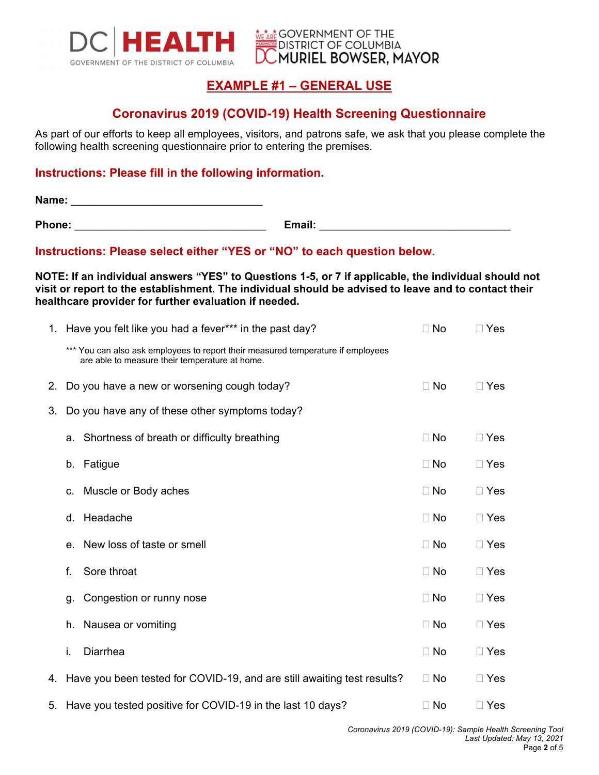

**WE ARE GOVERNMENT OF THE DISTRICT OF COLUMBIA MURIEL BOWSER, MAYOR** 

# **EXAMPLE #1 – GENERAL USE**

## **Coronavirus 2019 (COVID-19) Health Screening Questionnaire**

As part of our efforts to keep all employees, visitors, and patrons safe, we ask that you please complete the following health screening questionnaire prior to entering the premises.

### **Instructions: Please fill in the following information.**

**Name:** \_\_\_\_\_\_\_\_\_\_\_\_\_\_\_\_\_\_\_\_\_\_\_\_\_\_\_\_\_\_\_\_

**Phone:** \_\_\_\_\_\_\_\_\_\_\_\_\_\_\_\_\_\_\_\_\_\_\_\_\_\_\_\_\_\_\_\_ **Email:** \_\_\_\_\_\_\_\_\_\_\_\_\_\_\_\_\_\_\_\_\_\_\_\_\_\_\_\_\_\_\_\_

**Instructions: Please select either "YES or "NO" to each question below.** 

**NOTE: If an individual answers "YES" to Questions 1-5, or 7 if applicable, the individual should not visit or report to the establishment. The individual should be advised to leave and to contact their healthcare provider for further evaluation if needed.** 

|    | 1. Have you felt like you had a fever*** in the past day?                                                                          | $\Box$ No | $\square$ Yes |
|----|------------------------------------------------------------------------------------------------------------------------------------|-----------|---------------|
|    | *** You can also ask employees to report their measured temperature if employees<br>are able to measure their temperature at home. |           |               |
| 2. | Do you have a new or worsening cough today?                                                                                        | $\Box$ No | $\square$ Yes |
| 3. | Do you have any of these other symptoms today?                                                                                     |           |               |
|    | a. Shortness of breath or difficulty breathing                                                                                     | $\Box$ No | $\Box$ Yes    |
|    | Fatigue<br>b.                                                                                                                      | $\Box$ No | $\Box$ Yes    |
|    | Muscle or Body aches<br>C.                                                                                                         | $\Box$ No | $\Box$ Yes    |
|    | Headache<br>d.                                                                                                                     | $\Box$ No | $\Box$ Yes    |
|    | New loss of taste or smell<br>e.                                                                                                   | $\Box$ No | $\Box$ Yes    |
|    | Sore throat<br>f.                                                                                                                  | $\Box$ No | $\Box$ Yes    |
|    | Congestion or runny nose<br>g.                                                                                                     | $\Box$ No | $\Box$ Yes    |
|    | Nausea or vomiting<br>h.                                                                                                           | $\Box$ No | $\Box$ Yes    |
|    | Diarrhea<br>i.                                                                                                                     | $\Box$ No | $\square$ Yes |
|    | 4. Have you been tested for COVID-19, and are still awaiting test results?                                                         | $\Box$ No | $\Box$ Yes    |
|    | 5. Have you tested positive for COVID-19 in the last 10 days?                                                                      | $\Box$ No | $\square$ Yes |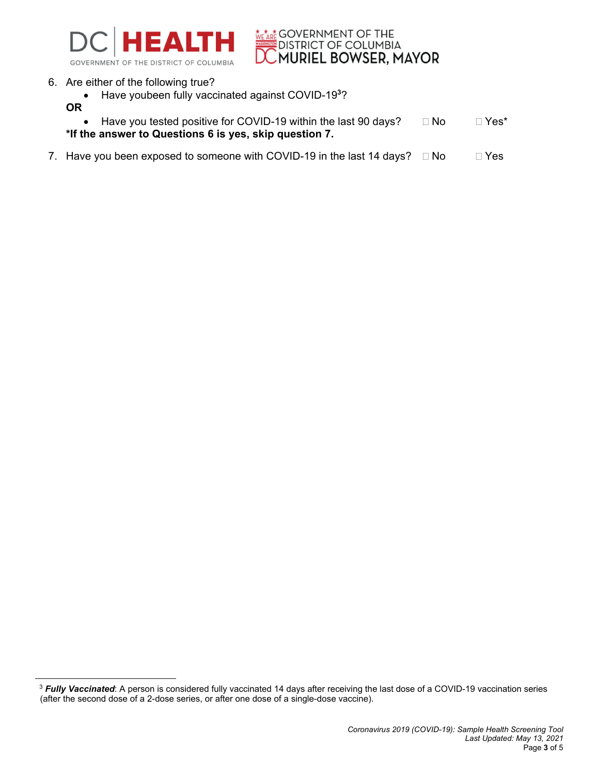

**WEARE GOVERNMENT OF THE DISTRICT OF COLUMBIA**<br>DISTRICT OF COLUMBIA<br>**DC MURIEL BOWSER, MAYOR** 

- 6. Are either of the following true?
	- Have youbeen fully vaccinated against COVID-19<sup>3</sup>?
	- **OR**

| • Have you tested positive for COVID-19 within the last 90 days? | $\Box$ No | $\Box$ Yes* |
|------------------------------------------------------------------|-----------|-------------|
| *If the answer to Questions 6 is yes, skip question 7.           |           |             |

7. Have you been exposed to someone with COVID-19 in the last 14 days?  $\Box$  No  $\Box$  Yes

<sup>&</sup>lt;sup>3</sup> Fully Vaccinated: A person is considered fully vaccinated 14 days after receiving the last dose of a COVID-19 vaccination series (after the second dose of a 2-dose series, or after one dose of a single-dose vaccine).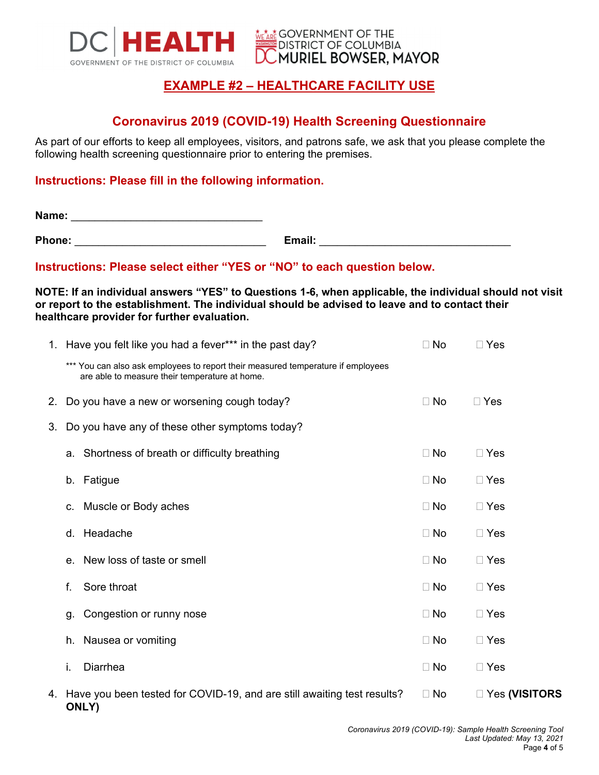

# **EXAMPLE #2 – HEALTHCARE FACILITY USE**

**WE ARE GOVERNMENT OF THE** 

**EDISTRICT OF COLUMBIA** 

**MURIEL BOWSER, MAYOR** 

## **Coronavirus 2019 (COVID-19) Health Screening Questionnaire**

As part of our efforts to keep all employees, visitors, and patrons safe, we ask that you please complete the following health screening questionnaire prior to entering the premises.

### **Instructions: Please fill in the following information.**

**Name:**  $\blacksquare$ 

**Phone:** \_\_\_\_\_\_\_\_\_\_\_\_\_\_\_\_\_\_\_\_\_\_\_\_\_\_\_\_\_\_\_\_ **Email:** \_\_\_\_\_\_\_\_\_\_\_\_\_\_\_\_\_\_\_\_\_\_\_\_\_\_\_\_\_\_\_\_

### **Instructions: Please select either "YES or "NO" to each question below.**

**NOTE: If an individual answers "YES" to Questions 1-6, when applicable, the individual should not visit or report to the establishment. The individual should be advised to leave and to contact their healthcare provider for further evaluation.** 

|    |                                                | 1. Have you felt like you had a fever*** in the past day?                                                                          | $\Box$ No | $\Box$ Yes      |
|----|------------------------------------------------|------------------------------------------------------------------------------------------------------------------------------------|-----------|-----------------|
|    |                                                | *** You can also ask employees to report their measured temperature if employees<br>are able to measure their temperature at home. |           |                 |
|    |                                                | 2. Do you have a new or worsening cough today?                                                                                     | $\Box$ No | $\Box$ Yes      |
| 3. | Do you have any of these other symptoms today? |                                                                                                                                    |           |                 |
|    |                                                | a. Shortness of breath or difficulty breathing                                                                                     | $\Box$ No | $\Box$ Yes      |
|    |                                                | b. Fatigue                                                                                                                         | $\Box$ No | $\Box$ Yes      |
|    |                                                | c. Muscle or Body aches                                                                                                            | $\Box$ No | $\Box$ Yes      |
|    |                                                | d. Headache                                                                                                                        | $\Box$ No | $\Box$ Yes      |
|    |                                                | e. New loss of taste or smell                                                                                                      | $\Box$ No | $\Box$ Yes      |
|    | f.                                             | Sore throat                                                                                                                        | $\Box$ No | $\Box$ Yes      |
|    | q.                                             | Congestion or runny nose                                                                                                           | $\Box$ No | $\Box$ Yes      |
|    |                                                | h. Nausea or vomiting                                                                                                              | $\Box$ No | $\Box$ Yes      |
|    | i.                                             | <b>Diarrhea</b>                                                                                                                    | $\Box$ No | $\Box$ Yes      |
|    |                                                | 4. Have you been tested for COVID-19, and are still awaiting test results?                                                         | $\Box$ No | □ Yes (VISITORS |

**ONLY)**